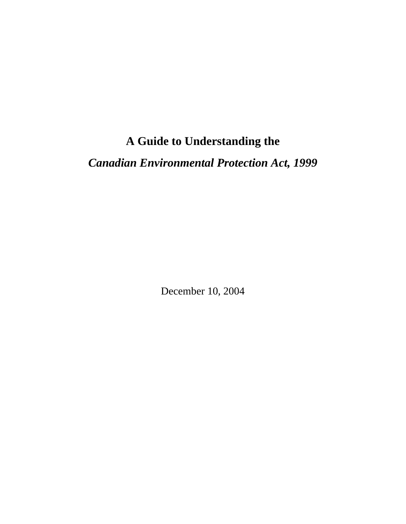# **A Guide to Understanding the**

*Canadian Environmental Protection Act, 1999* 

December 10, 2004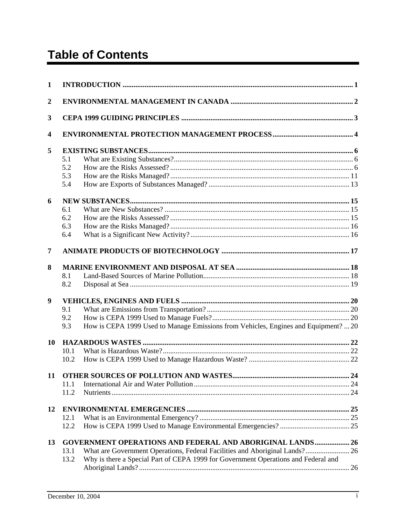# **Table of Contents**

| 1                       |                                                                  |                                                                                     |  |  |  |
|-------------------------|------------------------------------------------------------------|-------------------------------------------------------------------------------------|--|--|--|
| $\boldsymbol{2}$        |                                                                  |                                                                                     |  |  |  |
| 3                       |                                                                  |                                                                                     |  |  |  |
| $\overline{\mathbf{4}}$ |                                                                  |                                                                                     |  |  |  |
| 5                       |                                                                  |                                                                                     |  |  |  |
|                         | 5.1                                                              |                                                                                     |  |  |  |
|                         | 5.2                                                              |                                                                                     |  |  |  |
|                         | 5.3                                                              |                                                                                     |  |  |  |
|                         | 5.4                                                              |                                                                                     |  |  |  |
| 6                       |                                                                  |                                                                                     |  |  |  |
|                         | 6.1                                                              |                                                                                     |  |  |  |
|                         | 6.2                                                              |                                                                                     |  |  |  |
|                         | 6.3                                                              |                                                                                     |  |  |  |
|                         | 6.4                                                              |                                                                                     |  |  |  |
| 7                       |                                                                  |                                                                                     |  |  |  |
| 8                       |                                                                  |                                                                                     |  |  |  |
|                         | 8.1                                                              |                                                                                     |  |  |  |
|                         | 8.2                                                              |                                                                                     |  |  |  |
| 9                       |                                                                  |                                                                                     |  |  |  |
|                         | 9.1                                                              |                                                                                     |  |  |  |
|                         | 9.2                                                              |                                                                                     |  |  |  |
|                         | 9.3                                                              | How is CEPA 1999 Used to Manage Emissions from Vehicles, Engines and Equipment?  20 |  |  |  |
| 10                      |                                                                  |                                                                                     |  |  |  |
|                         | 10.1                                                             |                                                                                     |  |  |  |
|                         | 10.2                                                             |                                                                                     |  |  |  |
| 11                      |                                                                  |                                                                                     |  |  |  |
|                         | 11.1                                                             |                                                                                     |  |  |  |
|                         | 11.2                                                             |                                                                                     |  |  |  |
| 12                      |                                                                  |                                                                                     |  |  |  |
|                         | 12.1                                                             |                                                                                     |  |  |  |
|                         | 12.2                                                             |                                                                                     |  |  |  |
| 13                      | <b>GOVERNMENT OPERATIONS AND FEDERAL AND ABORIGINAL LANDS 26</b> |                                                                                     |  |  |  |
|                         | 13.1                                                             | What are Government Operations, Federal Facilities and Aboriginal Lands? 26         |  |  |  |
|                         | 13.2                                                             | Why is there a Special Part of CEPA 1999 for Government Operations and Federal and  |  |  |  |
|                         |                                                                  |                                                                                     |  |  |  |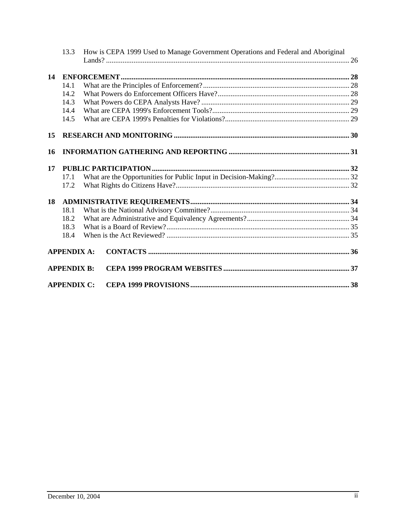|    | 13.3               | How is CEPA 1999 Used to Manage Government Operations and Federal and Aboriginal |  |  |  |  |
|----|--------------------|----------------------------------------------------------------------------------|--|--|--|--|
|    |                    |                                                                                  |  |  |  |  |
| 14 |                    |                                                                                  |  |  |  |  |
|    | 14.1               |                                                                                  |  |  |  |  |
|    | 14.2               |                                                                                  |  |  |  |  |
|    | 14.3               |                                                                                  |  |  |  |  |
|    | 14.4               |                                                                                  |  |  |  |  |
|    | 14.5               |                                                                                  |  |  |  |  |
| 15 |                    |                                                                                  |  |  |  |  |
| 16 |                    |                                                                                  |  |  |  |  |
| 17 |                    |                                                                                  |  |  |  |  |
|    | 17.1               |                                                                                  |  |  |  |  |
|    | 17.2               |                                                                                  |  |  |  |  |
| 18 |                    |                                                                                  |  |  |  |  |
|    | 18.1               |                                                                                  |  |  |  |  |
|    | 18.2               |                                                                                  |  |  |  |  |
|    | 18.3               |                                                                                  |  |  |  |  |
|    | 18.4               |                                                                                  |  |  |  |  |
|    | <b>APPENDIX A:</b> |                                                                                  |  |  |  |  |
|    | <b>APPENDIX B:</b> |                                                                                  |  |  |  |  |
|    | <b>APPENDIX C:</b> |                                                                                  |  |  |  |  |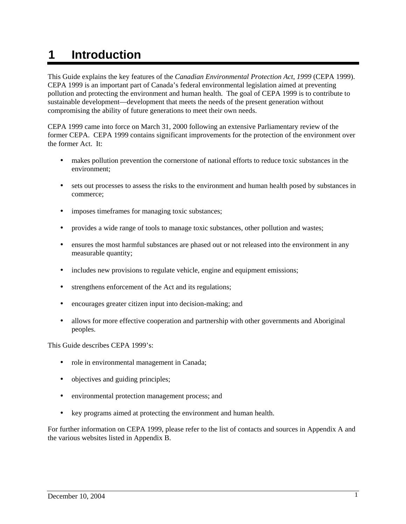# **1 Introduction**

This Guide explains the key features of the *Canadian Environmental Protection Act*, *1999* (CEPA 1999). CEPA 1999 is an important part of Canada's federal environmental legislation aimed at preventing pollution and protecting the environment and human health. The goal of CEPA 1999 is to contribute to sustainable development—development that meets the needs of the present generation without compromising the ability of future generations to meet their own needs.

CEPA 1999 came into force on March 31, 2000 following an extensive Parliamentary review of the former CEPA. CEPA 1999 contains significant improvements for the protection of the environment over the former Act. It:

- makes pollution prevention the cornerstone of national efforts to reduce toxic substances in the environment;
- sets out processes to assess the risks to the environment and human health posed by substances in commerce;
- imposes timeframes for managing toxic substances;
- provides a wide range of tools to manage toxic substances, other pollution and wastes;
- ensures the most harmful substances are phased out or not released into the environment in any measurable quantity;
- includes new provisions to regulate vehicle, engine and equipment emissions;
- strengthens enforcement of the Act and its regulations;
- encourages greater citizen input into decision-making; and
- allows for more effective cooperation and partnership with other governments and Aboriginal peoples.

This Guide describes CEPA 1999's:

- role in environmental management in Canada;
- objectives and guiding principles;
- environmental protection management process; and
- key programs aimed at protecting the environment and human health.

For further information on CEPA 1999, please refer to the list of contacts and sources in Appendix A and the various websites listed in Appendix B.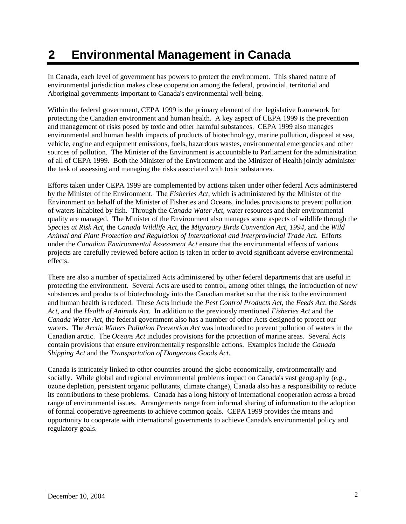# **2 Environmental Management in Canada**

In Canada, each level of government has powers to protect the environment. This shared nature of environmental jurisdiction makes close cooperation among the federal, provincial, territorial and Aboriginal governments important to Canada's environmental well-being.

Within the federal government, CEPA 1999 is the primary element of the legislative framework for protecting the Canadian environment and human health. A key aspect of CEPA 1999 is the prevention and management of risks posed by toxic and other harmful substances. CEPA 1999 also manages environmental and human health impacts of products of biotechnology, marine pollution, disposal at sea, vehicle, engine and equipment emissions, fuels, hazardous wastes, environmental emergencies and other sources of pollution. The Minister of the Environment is accountable to Parliament for the administration of all of CEPA 1999. Both the Minister of the Environment and the Minister of Health jointly administer the task of assessing and managing the risks associated with toxic substances.

Efforts taken under CEPA 1999 are complemented by actions taken under other federal Acts administered by the Minister of the Environment. The *Fisheries Act*, which is administered by the Minister of the Environment on behalf of the Minister of Fisheries and Oceans, includes provisions to prevent pollution of waters inhabited by fish. Through the *Canada Water Act,* water resources and their environmental quality are managed. The Minister of the Environment also manages some aspects of wildlife through the *Species at Risk Act*, the *Canada Wildlife Act*, the *Migratory Birds Convention Act, 1994*, and the *Wild Animal and Plant Protection and Regulation of International and Interprovincial Trade Act.* Efforts under the *Canadian Environmental Assessment Act* ensure that the environmental effects of various projects are carefully reviewed before action is taken in order to avoid significant adverse environmental effects.

There are also a number of specialized Acts administered by other federal departments that are useful in protecting the environment. Several Acts are used to control, among other things, the introduction of new substances and products of biotechnology into the Canadian market so that the risk to the environment and human health is reduced. These Acts include the *Pest Control Products Act*, the *Feeds Act*, the *Seeds Act*, and the *Health of Animals Act*. In addition to the previously mentioned *Fisheries Act* and the *Canada Water Act,* the federal government also has a number of other Acts designed to protect our waters. The *Arctic Waters Pollution Prevention Act* was introduced to prevent pollution of waters in the Canadian arctic. The *Oceans Act* includes provisions for the protection of marine areas. Several Acts contain provisions that ensure environmentally responsible actions. Examples include the *Canada Shipping Act* and the *Transportation of Dangerous Goods Act*.

Canada is intricately linked to other countries around the globe economically, environmentally and socially. While global and regional environmental problems impact on Canada's vast geography (e.g., ozone depletion, persistent organic pollutants, climate change), Canada also has a responsibility to reduce its contributions to these problems. Canada has a long history of international cooperation across a broad range of environmental issues. Arrangements range from informal sharing of information to the adoption of formal cooperative agreements to achieve common goals. CEPA 1999 provides the means and opportunity to cooperate with international governments to achieve Canada's environmental policy and regulatory goals.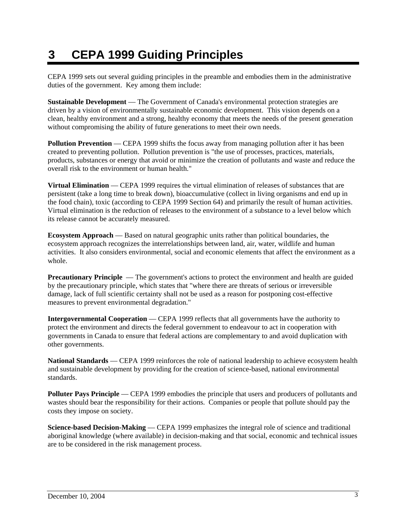# **3 CEPA 1999 Guiding Principles**

CEPA 1999 sets out several guiding principles in the preamble and embodies them in the administrative duties of the government. Key among them include:

**Sustainable Development** — The Government of Canada's environmental protection strategies are driven by a vision of environmentally sustainable economic development. This vision depends on a clean, healthy environment and a strong, healthy economy that meets the needs of the present generation without compromising the ability of future generations to meet their own needs.

**Pollution Prevention** — CEPA 1999 shifts the focus away from managing pollution after it has been created to preventing pollution. Pollution prevention is "the use of processes, practices, materials, products, substances or energy that avoid or minimize the creation of pollutants and waste and reduce the overall risk to the environment or human health."

**Virtual Elimination** — CEPA 1999 requires the virtual elimination of releases of substances that are persistent (take a long time to break down), bioaccumulative (collect in living organisms and end up in the food chain), toxic (according to CEPA 1999 Section 64) and primarily the result of human activities. Virtual elimination is the reduction of releases to the environment of a substance to a level below which its release cannot be accurately measured.

**Ecosystem Approach** — Based on natural geographic units rather than political boundaries, the ecosystem approach recognizes the interrelationships between land, air, water, wildlife and human activities. It also considers environmental, social and economic elements that affect the environment as a whole.

**Precautionary Principle** — The government's actions to protect the environment and health are guided by the precautionary principle, which states that "where there are threats of serious or irreversible damage, lack of full scientific certainty shall not be used as a reason for postponing cost-effective measures to prevent environmental degradation."

**Intergovernmental Cooperation** — CEPA 1999 reflects that all governments have the authority to protect the environment and directs the federal government to endeavour to act in cooperation with governments in Canada to ensure that federal actions are complementary to and avoid duplication with other governments.

**National Standards** — CEPA 1999 reinforces the role of national leadership to achieve ecosystem health and sustainable development by providing for the creation of science-based, national environmental standards.

**Polluter Pays Principle** — CEPA 1999 embodies the principle that users and producers of pollutants and wastes should bear the responsibility for their actions. Companies or people that pollute should pay the costs they impose on society.

**Science-based Decision-Making** — CEPA 1999 emphasizes the integral role of science and traditional aboriginal knowledge (where available) in decision-making and that social, economic and technical issues are to be considered in the risk management process.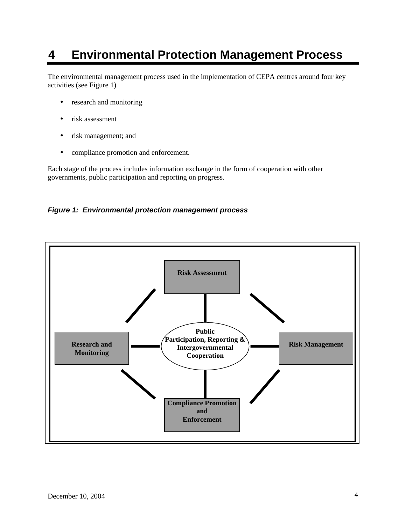## **4 Environmental Protection Management Process**

The environmental management process used in the implementation of CEPA centres around four key activities (see Figure 1)

- research and monitoring
- risk assessment
- risk management; and
- compliance promotion and enforcement.

Each stage of the process includes information exchange in the form of cooperation with other governments, public participation and reporting on progress.

#### *Figure 1: Environmental protection management process*

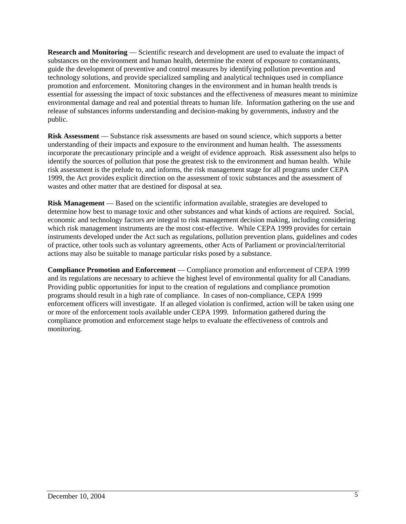**Research and Monitoring** — Scientific research and development are used to evaluate the impact of substances on the environment and human health, determine the extent of exposure to contaminants, guide the development of preventive and control measures by identifying pollution prevention and technology solutions, and provide specialized sampling and analytical techniques used in compliance promotion and enforcement. Monitoring changes in the environment and in human health trends is essential for assessing the impact of toxic substances and the effectiveness of measures meant to minimize environmental damage and real and potential threats to human life. Information gathering on the use and release of substances informs understanding and decision-making by governments, industry and the public.

**Risk Assessment** — Substance risk assessments are based on sound science, which supports a better understanding of their impacts and exposure to the environment and human health. The assessments incorporate the precautionary principle and a weight of evidence approach. Risk assessment also helps to identify the sources of pollution that pose the greatest risk to the environment and human health. While risk assessment is the prelude to, and informs, the risk management stage for all programs under CEPA 1999, the Act provides explicit direction on the assessment of toxic substances and the assessment of wastes and other matter that are destined for disposal at sea.

**Risk Management** — Based on the scientific information available, strategies are developed to determine how best to manage toxic and other substances and what kinds of actions are required. Social, economic and technology factors are integral to risk management decision making, including considering which risk management instruments are the most cost-effective. While CEPA 1999 provides for certain instruments developed under the Act such as regulations, pollution prevention plans, guidelines and codes of practice, other tools such as voluntary agreements, other Acts of Parliament or provincial/territorial actions may also be suitable to manage particular risks posed by a substance.

**Compliance Promotion and Enforcement** — Compliance promotion and enforcement of CEPA 1999 and its regulations are necessary to achieve the highest level of environmental quality for all Canadians. Providing public opportunities for input to the creation of regulations and compliance promotion programs should result in a high rate of compliance. In cases of non-compliance, CEPA 1999 enforcement officers will investigate. If an alleged violation is confirmed, action will be taken using one or more of the enforcement tools available under CEPA 1999. Information gathered during the compliance promotion and enforcement stage helps to evaluate the effectiveness of controls and monitoring.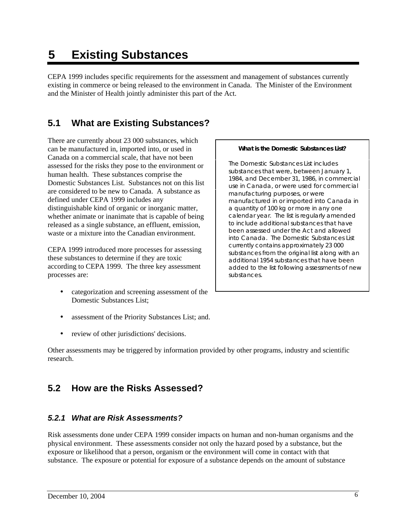# **5 Existing Substances**

CEPA 1999 includes specific requirements for the assessment and management of substances currently existing in commerce or being released to the environment in Canada. The Minister of the Environment and the Minister of Health jointly administer this part of the Act.

## **5.1 What are Existing Substances?**

There are currently about 23 000 substances, which can be manufactured in, imported into, or used in Canada on a commercial scale, that have not been assessed for the risks they pose to the environment or human health. These substances comprise the Domestic Substances List. Substances not on this list are considered to be new to Canada. A substance as defined under CEPA 1999 includes any distinguishable kind of organic or inorganic matter, whether animate or inanimate that is capable of being released as a single substance, an effluent, emission, waste or a mixture into the Canadian environment.

CEPA 1999 introduced more processes for assessing these substances to determine if they are toxic according to CEPA 1999. The three key assessment processes are:

- categorization and screening assessment of the Domestic Substances List;
- assessment of the Priority Substances List; and.
- review of other jurisdictions' decisions.

Other assessments may be triggered by information provided by other programs, industry and scientific research.

## **5.2 How are the Risks Assessed?**

### *5.2.1 What are Risk Assessments?*

Risk assessments done under CEPA 1999 consider impacts on human and non-human organisms and the physical environment. These assessments consider not only the hazard posed by a substance, but the exposure or likelihood that a person, organism or the environment will come in contact with that substance. The exposure or potential for exposure of a substance depends on the amount of substance

#### *What is the Domestic Substances List?*

 *The Domestic Substances List includes substances that were, between January 1, 1984, and December 31, 1986, in commercial use in Canada, or were used for commercial manufacturing purposes, or were manufactured in or imported into Canada in a quantity of 100 kg or more in any one calendar year. The list is regularly amended to include additional substances that have been assessed under the Act and allowed into Canada. The Domestic Substances List currently contains approximately 23 000 substances from the original list along with an additional 1954 substances that have been added to the list following assessments of new substances.*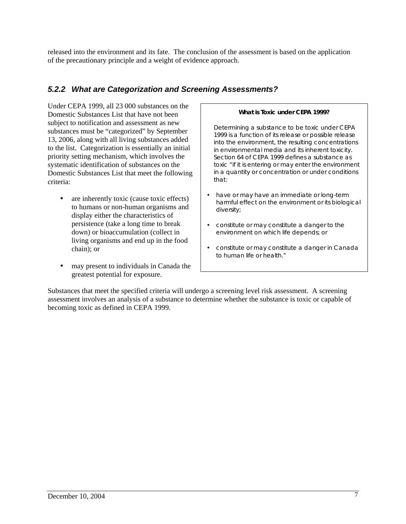released into the environment and its fate. The conclusion of the assessment is based on the application of the precautionary principle and a weight of evidence approach.

### *5.2.2 What are Categorization and Screening Assessments?*

Under CEPA 1999, all 23 000 substances on the Domestic Substances List that have not been subject to notification and assessment as new substances must be "categorized" by September 13, 2006, along with all living substances added to the list. Categorization is essentially an initial priority setting mechanism, which involves the systematic identification of substances on the Domestic Substances List that meet the following criteria:

- are inherently toxic (cause toxic effects) to humans or non-human organisms and display either the characteristics of persistence (take a long time to break down) or bioaccumulation (collect in living organisms and end up in the food chain); or
- may present to individuals in Canada the greatest potential for exposure.

#### *What is Toxic under CEPA 1999?*

 *Determining a substance to be toxic under CEPA 1999 is a function of its release or possible release into the environment, the resulting concentrations in environmental media and its inherent toxicity. Section 64 of CEPA 1999 defines a substance as toxic "if it is entering or may enter the environment in a quantity or concentration or under conditions that:* 

- *have or may have an immediate or long-term harmful effect on the environment or its biological diversity;*
- *constitute or may constitute a danger to the environment on which life depends; or*
- *constitute or may constitute a danger in Canada to human life or health."*

Substances that meet the specified criteria will undergo a screening level risk assessment. A screening assessment involves an analysis of a substance to determine whether the substance is toxic or capable of becoming toxic as defined in CEPA 1999.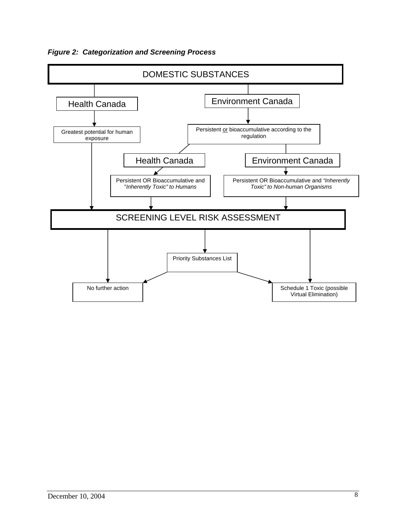*Figure 2: Categorization and Screening Process* 

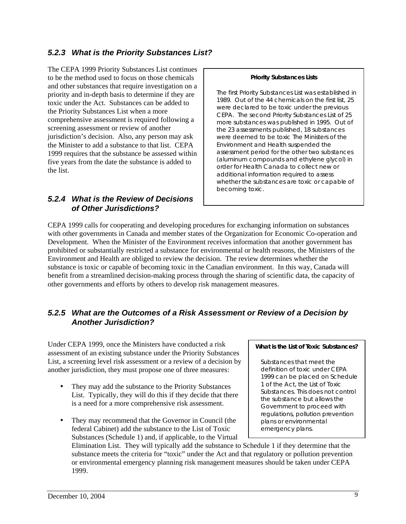### *5.2.3 What is the Priority Substances List?*

The CEPA 1999 Priority Substances List continues to be the method used to focus on those chemicals and other substances that require investigation on a priority and in-depth basis to determine if they are toxic under the Act. Substances can be added to the Priority Substances List when a more comprehensive assessment is required following a screening assessment or review of another jurisdiction's decision. Also, any person may ask the Minister to add a substance to that list. CEPA 1999 requires that the substance be assessed within five years from the date the substance is added to the list.

#### *5.2.4 What is the Review of Decisions of Other Jurisdictions?*

#### *Priority Substances Lists*

 *The first Priority Substances List was established in 1989. Out of the 44 chemicals on the first list, 25 were declared to be toxic under the previous CEPA. The second Priority Substances List of 25 more substances was published in 1995. Out of the 23 assessments published, 18 substances were deemed to be toxic The Ministers of the Environment and Health suspended the assessment period for the other two substances (aluminum compounds and ethylene glycol) in order for Health Canada to collect new or additional information required to assess whether the substances are toxic or capable of becoming toxic.* 

CEPA 1999 calls for cooperating and developing procedures for exchanging information on substances with other governments in Canada and member states of the Organization for Economic Co-operation and Development. When the Minister of the Environment receives information that another government has prohibited or substantially restricted a substance for environmental or health reasons, the Ministers of the Environment and Health are obliged to review the decision. The review determines whether the substance is toxic or capable of becoming toxic in the Canadian environment. In this way, Canada will benefit from a streamlined decision-making process through the sharing of scientific data, the capacity of other governments and efforts by others to develop risk management measures.

### *5.2.5 What are the Outcomes of a Risk Assessment or Review of a Decision by Another Jurisdiction?*

Under CEPA 1999, once the Ministers have conducted a risk assessment of an existing substance under the Priority Substances List, a screening level risk assessment or a review of a decision by another jurisdiction, they must propose one of three measures:

- They may add the substance to the Priority Substances List. Typically, they will do this if they decide that there is a need for a more comprehensive risk assessment.
- They may recommend that the Governor in Council (the federal Cabinet) add the substance to the List of Toxic Substances (Schedule 1) and, if applicable, to the Virtual

#### *What is the List of Toxic Substances?*

 *Substances that meet the definition of toxic under CEPA 1999 can be placed on Schedule 1 of the Act, the List of Toxic Substances. This does not control the substance but allows the Government to proceed with regulations, pollution prevention plans or environmental emergency plans.* 

Elimination List. They will typically add the substance to Schedule 1 if they determine that the substance meets the criteria for "toxic" under the Act and that regulatory or pollution prevention or environmental emergency planning risk management measures should be taken under CEPA 1999.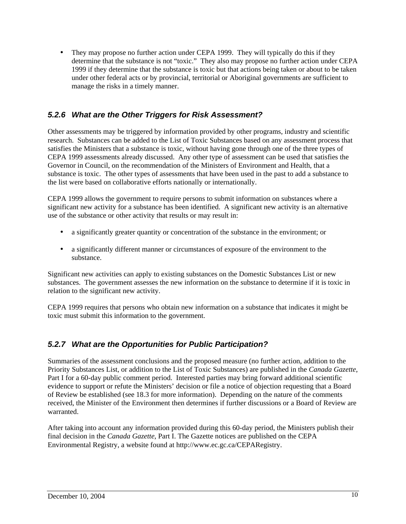• They may propose no further action under CEPA 1999. They will typically do this if they determine that the substance is not "toxic." They also may propose no further action under CEPA 1999 if they determine that the substance is toxic but that actions being taken or about to be taken under other federal acts or by provincial, territorial or Aboriginal governments are sufficient to manage the risks in a timely manner.

### *5.2.6 What are the Other Triggers for Risk Assessment?*

Other assessments may be triggered by information provided by other programs, industry and scientific research. Substances can be added to the List of Toxic Substances based on any assessment process that satisfies the Ministers that a substance is toxic, without having gone through one of the three types of CEPA 1999 assessments already discussed. Any other type of assessment can be used that satisfies the Governor in Council, on the recommendation of the Ministers of Environment and Health, that a substance is toxic. The other types of assessments that have been used in the past to add a substance to the list were based on collaborative efforts nationally or internationally.

CEPA 1999 allows the government to require persons to submit information on substances where a significant new activity for a substance has been identified. A significant new activity is an alternative use of the substance or other activity that results or may result in:

- a significantly greater quantity or concentration of the substance in the environment; or
- a significantly different manner or circumstances of exposure of the environment to the substance.

Significant new activities can apply to existing substances on the Domestic Substances List or new substances. The government assesses the new information on the substance to determine if it is toxic in relation to the significant new activity.

CEPA 1999 requires that persons who obtain new information on a substance that indicates it might be toxic must submit this information to the government.

### *5.2.7 What are the Opportunities for Public Participation?*

Summaries of the assessment conclusions and the proposed measure (no further action, addition to the Priority Substances List, or addition to the List of Toxic Substances) are published in the *Canada Gazette*, Part I for a 60-day public comment period. Interested parties may bring forward additional scientific evidence to support or refute the Ministers' decision or file a notice of objection requesting that a Board of Review be established (see 18.3 for more information). Depending on the nature of the comments received, the Minister of the Environment then determines if further discussions or a Board of Review are warranted.

After taking into account any information provided during this 60-day period, the Ministers publish their final decision in the *Canada Gazette*, Part I. The Gazette notices are published on the CEPA Environmental Registry, a website found at http://www.ec.gc.ca/CEPARegistry.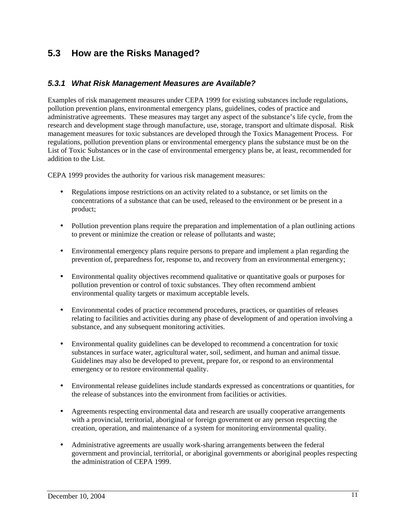## **5.3 How are the Risks Managed?**

#### *5.3.1 What Risk Management Measures are Available?*

Examples of risk management measures under CEPA 1999 for existing substances include regulations, pollution prevention plans, environmental emergency plans, guidelines, codes of practice and administrative agreements. These measures may target any aspect of the substance's life cycle, from the research and development stage through manufacture, use, storage, transport and ultimate disposal. Risk management measures for toxic substances are developed through the Toxics Management Process. For regulations, pollution prevention plans or environmental emergency plans the substance must be on the List of Toxic Substances or in the case of environmental emergency plans be, at least, recommended for addition to the List.

CEPA 1999 provides the authority for various risk management measures:

- Regulations impose restrictions on an activity related to a substance, or set limits on the concentrations of a substance that can be used, released to the environment or be present in a product;
- Pollution prevention plans require the preparation and implementation of a plan outlining actions to prevent or minimize the creation or release of pollutants and waste;
- Environmental emergency plans require persons to prepare and implement a plan regarding the prevention of, preparedness for, response to, and recovery from an environmental emergency;
- Environmental quality objectives recommend qualitative or quantitative goals or purposes for pollution prevention or control of toxic substances. They often recommend ambient environmental quality targets or maximum acceptable levels.
- Environmental codes of practice recommend procedures, practices, or quantities of releases relating to facilities and activities during any phase of development of and operation involving a substance, and any subsequent monitoring activities.
- Environmental quality guidelines can be developed to recommend a concentration for toxic substances in surface water, agricultural water, soil, sediment, and human and animal tissue. Guidelines may also be developed to prevent, prepare for, or respond to an environmental emergency or to restore environmental quality.
- Environmental release guidelines include standards expressed as concentrations or quantities, for the release of substances into the environment from facilities or activities.
- Agreements respecting environmental data and research are usually cooperative arrangements with a provincial, territorial, aboriginal or foreign government or any person respecting the creation, operation, and maintenance of a system for monitoring environmental quality.
- Administrative agreements are usually work-sharing arrangements between the federal government and provincial, territorial, or aboriginal governments or aboriginal peoples respecting the administration of CEPA 1999.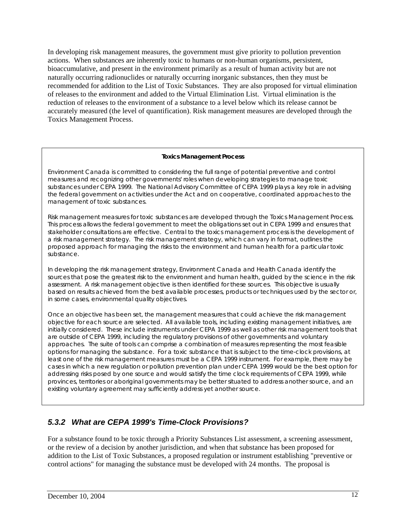In developing risk management measures, the government must give priority to pollution prevention actions. When substances are inherently toxic to humans or non-human organisms, persistent, bioaccumulative, and present in the environment primarily as a result of human activity but are not naturally occurring radionuclides or naturally occurring inorganic substances, then they must be recommended for addition to the List of Toxic Substances. They are also proposed for virtual elimination of releases to the environment and added to the Virtual Elimination List. Virtual elimination is the reduction of releases to the environment of a substance to a level below which its release cannot be accurately measured (the level of quantification). Risk management measures are developed through the Toxics Management Process.

#### *Toxics Management Process*

*Environment Canada is committed to considering the full range of potential preventive and control measures and recognizing other governments' roles when developing strategies to manage toxic substances under CEPA 1999. The National Advisory Committee of CEPA 1999 plays a key role in advising the federal government on activities under the Act and on cooperative, coordinated approaches to the management of toxic substances.* 

*Risk management measures for toxic substances are developed through the Toxics Management Process. This process allows the federal government to meet the obligations set out in CEPA 1999 and ensures that stakeholder consultations are effective. Central to the toxics management process is the development of a risk management strategy. The risk management strategy, which can vary in format, outlines the proposed approach for managing the risks to the environment and human health for a particular toxic substance.* 

*In developing the risk management strategy, Environment Canada and Health Canada identify the sources that pose the greatest risk to the environment and human health, guided by the science in the risk assessment. A risk management objective is then identified for these sources. This objective is usually based on results achieved from the best available processes, products or techniques used by the sector or, in some cases, environmental quality objectives.* 

*Once an objective has been set, the management measures that could achieve the risk management objective for each source are selected. All available tools, including existing management initiatives, are initially considered. These include instruments under CEPA 1999 as well as other risk management tools that are outside of CEPA 1999, including the regulatory provisions of other governments and voluntary approaches. The suite of tools can comprise a combination of measures representing the most feasible options for managing the substance. For a toxic substance that is subject to the time-clock provisions, at*  least one of the risk management measures must be a CEPA 1999 instrument. For example, there may be *cases in which a new regulation or pollution prevention plan under CEPA 1999 would be the best option for addressing risks posed by one source and would satisfy the time clock requirements of CEPA 1999, while provinces, territories or aboriginal governments may be better situated to address another source, and an existing voluntary agreement may sufficiently address yet another source.* 

### *5.3.2 What are CEPA 1999's Time-Clock Provisions?*

For a substance found to be toxic through a Priority Substances List assessment, a screening assessment, or the review of a decision by another jurisdiction, and when that substance has been proposed for addition to the List of Toxic Substances, a proposed regulation or instrument establishing "preventive or control actions" for managing the substance must be developed with 24 months. The proposal is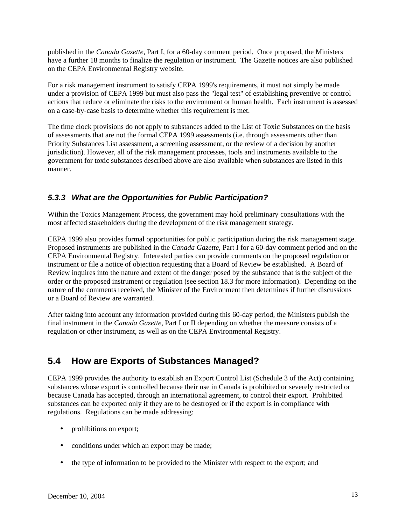published in the *Canada Gazette,* Part I, for a 60-day comment period. Once proposed, the Ministers have a further 18 months to finalize the regulation or instrument. The Gazette notices are also published on the CEPA Environmental Registry website.

For a risk management instrument to satisfy CEPA 1999's requirements, it must not simply be made under a provision of CEPA 1999 but must also pass the "legal test" of establishing preventive or control actions that reduce or eliminate the risks to the environment or human health. Each instrument is assessed on a case-by-case basis to determine whether this requirement is met.

The time clock provisions do not apply to substances added to the List of Toxic Substances on the basis of assessments that are not the formal CEPA 1999 assessments (i.e. through assessments other than Priority Substances List assessment, a screening assessment, or the review of a decision by another jurisdiction). However, all of the risk management processes, tools and instruments available to the government for toxic substances described above are also available when substances are listed in this manner.

### *5.3.3 What are the Opportunities for Public Participation?*

Within the Toxics Management Process, the government may hold preliminary consultations with the most affected stakeholders during the development of the risk management strategy.

CEPA 1999 also provides formal opportunities for public participation during the risk management stage. Proposed instruments are published in the *Canada Gazette*, Part I for a 60-day comment period and on the CEPA Environmental Registry. Interested parties can provide comments on the proposed regulation or instrument or file a notice of objection requesting that a Board of Review be established. A Board of Review inquires into the nature and extent of the danger posed by the substance that is the subject of the order or the proposed instrument or regulation (see section 18.3 for more information). Depending on the nature of the comments received, the Minister of the Environment then determines if further discussions or a Board of Review are warranted.

After taking into account any information provided during this 60-day period, the Ministers publish the final instrument in the *Canada Gazette*, Part I or II depending on whether the measure consists of a regulation or other instrument, as well as on the CEPA Environmental Registry.

## **5.4 How are Exports of Substances Managed?**

CEPA 1999 provides the authority to establish an Export Control List (Schedule 3 of the Act) containing substances whose export is controlled because their use in Canada is prohibited or severely restricted or because Canada has accepted, through an international agreement, to control their export. Prohibited substances can be exported only if they are to be destroyed or if the export is in compliance with regulations. Regulations can be made addressing:

- prohibitions on export;
- conditions under which an export may be made;
- the type of information to be provided to the Minister with respect to the export; and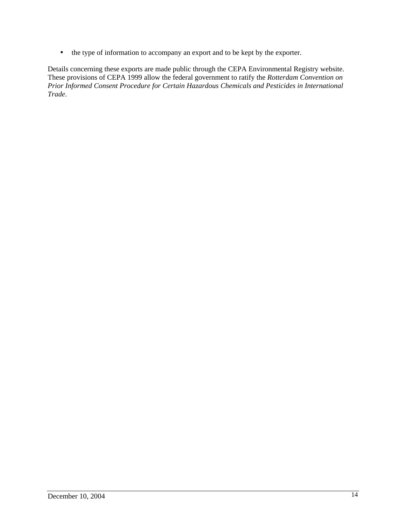• the type of information to accompany an export and to be kept by the exporter.

Details concerning these exports are made public through the CEPA Environmental Registry website. These provisions of CEPA 1999 allow the federal government to ratify the *Rotterdam Convention on Prior Informed Consent Procedure for Certain Hazardous Chemicals and Pesticides in International Trade*.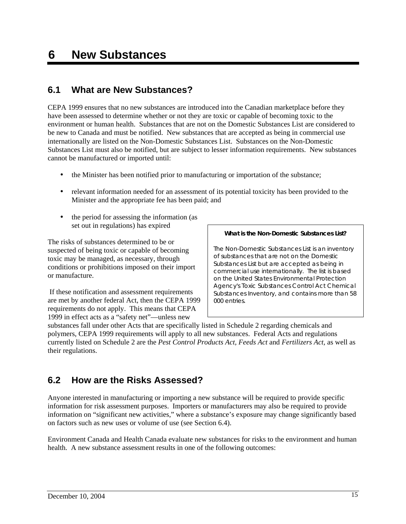## **6 New Substances**

## **6.1 What are New Substances?**

CEPA 1999 ensures that no new substances are introduced into the Canadian marketplace before they have been assessed to determine whether or not they are toxic or capable of becoming toxic to the environment or human health. Substances that are not on the Domestic Substances List are considered to be new to Canada and must be notified. New substances that are accepted as being in commercial use internationally are listed on the Non-Domestic Substances List. Substances on the Non-Domestic Substances List must also be notified, but are subject to lesser information requirements. New substances cannot be manufactured or imported until:

- the Minister has been notified prior to manufacturing or importation of the substance;
- relevant information needed for an assessment of its potential toxicity has been provided to the Minister and the appropriate fee has been paid; and
- the period for assessing the information (as set out in regulations) has expired

The risks of substances determined to be or suspected of being toxic or capable of becoming toxic may be managed, as necessary, through conditions or prohibitions imposed on their import or manufacture.

 If these notification and assessment requirements are met by another federal Act, then the CEPA 1999 requirements do not apply. This means that CEPA 1999 in effect acts as a "safety net"—unless new

#### *What is the Non-Domestic Substances List?*

*The Non-Domestic Substances List is an inventory of substances that are not on the Domestic Substances List but are accepted as being in commercial use internationally. The list is based on the United States Environmental Protection Agency's Toxic Substances Control Act Chemical Substances Inventory, and contains more than 58 000 entries.* 

substances fall under other Acts that are specifically listed in Schedule 2 regarding chemicals and polymers, CEPA 1999 requirements will apply to all new substances. Federal Acts and regulations currently listed on Schedule 2 are the *Pest Control Products Act, Feeds Act* and *Fertilizers Act,* as well as their regulations.

## **6.2 How are the Risks Assessed?**

Anyone interested in manufacturing or importing a new substance will be required to provide specific information for risk assessment purposes. Importers or manufacturers may also be required to provide information on "significant new activities," where a substance's exposure may change significantly based on factors such as new uses or volume of use (see Section 6.4).

Environment Canada and Health Canada evaluate new substances for risks to the environment and human health. A new substance assessment results in one of the following outcomes: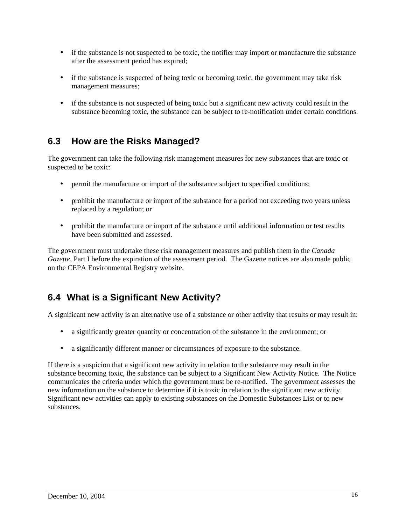- if the substance is not suspected to be toxic, the notifier may import or manufacture the substance after the assessment period has expired;
- if the substance is suspected of being toxic or becoming toxic, the government may take risk management measures;
- if the substance is not suspected of being toxic but a significant new activity could result in the substance becoming toxic, the substance can be subject to re-notification under certain conditions.

## **6.3 How are the Risks Managed?**

The government can take the following risk management measures for new substances that are toxic or suspected to be toxic:

- permit the manufacture or import of the substance subject to specified conditions;
- prohibit the manufacture or import of the substance for a period not exceeding two years unless replaced by a regulation; or
- prohibit the manufacture or import of the substance until additional information or test results have been submitted and assessed.

The government must undertake these risk management measures and publish them in the *Canada Gazette*, Part I before the expiration of the assessment period. The Gazette notices are also made public on the CEPA Environmental Registry website.

## **6.4 What is a Significant New Activity?**

A significant new activity is an alternative use of a substance or other activity that results or may result in:

- a significantly greater quantity or concentration of the substance in the environment; or
- a significantly different manner or circumstances of exposure to the substance.

If there is a suspicion that a significant new activity in relation to the substance may result in the substance becoming toxic, the substance can be subject to a Significant New Activity Notice. The Notice communicates the criteria under which the government must be re-notified. The government assesses the new information on the substance to determine if it is toxic in relation to the significant new activity. Significant new activities can apply to existing substances on the Domestic Substances List or to new substances.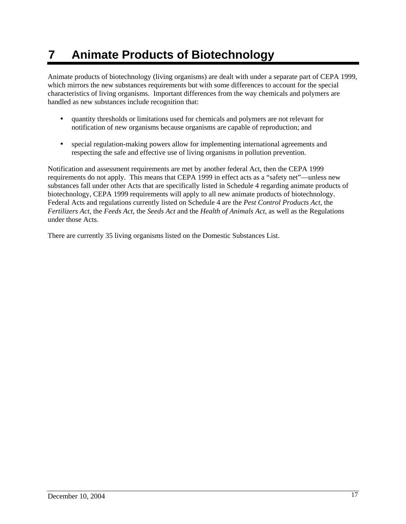# **7 Animate Products of Biotechnology**

Animate products of biotechnology (living organisms) are dealt with under a separate part of CEPA 1999, which mirrors the new substances requirements but with some differences to account for the special characteristics of living organisms. Important differences from the way chemicals and polymers are handled as new substances include recognition that:

- quantity thresholds or limitations used for chemicals and polymers are not relevant for notification of new organisms because organisms are capable of reproduction; and
- special regulation-making powers allow for implementing international agreements and respecting the safe and effective use of living organisms in pollution prevention.

Notification and assessment requirements are met by another federal Act, then the CEPA 1999 requirements do not apply. This means that CEPA 1999 in effect acts as a "safety net"—unless new substances fall under other Acts that are specifically listed in Schedule 4 regarding animate products of biotechnology, CEPA 1999 requirements will apply to all new animate products of biotechnology. Federal Acts and regulations currently listed on Schedule 4 are the *Pest Control Products Act,* the *Fertilizers Act,* the *Feeds Act*, the *Seeds Act* and the *Health of Animals Act*, as well as the Regulations under those Acts.

There are currently 35 living organisms listed on the Domestic Substances List.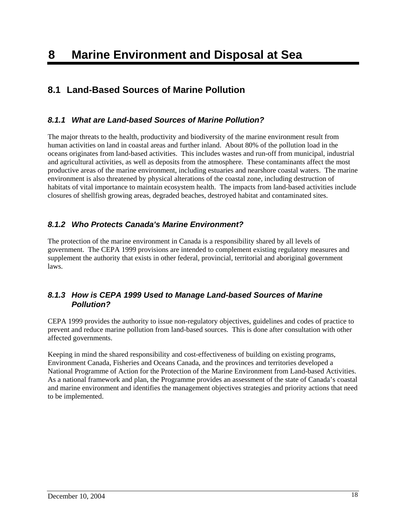## **8.1 Land-Based Sources of Marine Pollution**

### *8.1.1 What are Land-based Sources of Marine Pollution?*

The major threats to the health, productivity and biodiversity of the marine environment result from human activities on land in coastal areas and further inland. About 80% of the pollution load in the oceans originates from land-based activities. This includes wastes and run-off from municipal, industrial and agricultural activities, as well as deposits from the atmosphere. These contaminants affect the most productive areas of the marine environment, including estuaries and nearshore coastal waters. The marine environment is also threatened by physical alterations of the coastal zone, including destruction of habitats of vital importance to maintain ecosystem health. The impacts from land-based activities include closures of shellfish growing areas, degraded beaches, destroyed habitat and contaminated sites.

### *8.1.2 Who Protects Canada's Marine Environment?*

The protection of the marine environment in Canada is a responsibility shared by all levels of government. The CEPA 1999 provisions are intended to complement existing regulatory measures and supplement the authority that exists in other federal, provincial, territorial and aboriginal government laws.

### *8.1.3 How is CEPA 1999 Used to Manage Land-based Sources of Marine Pollution?*

CEPA 1999 provides the authority to issue non-regulatory objectives, guidelines and codes of practice to prevent and reduce marine pollution from land-based sources. This is done after consultation with other affected governments.

Keeping in mind the shared responsibility and cost-effectiveness of building on existing programs, Environment Canada, Fisheries and Oceans Canada, and the provinces and territories developed a National Programme of Action for the Protection of the Marine Environment from Land-based Activities. As a national framework and plan, the Programme provides an assessment of the state of Canada's coastal and marine environment and identifies the management objectives strategies and priority actions that need to be implemented.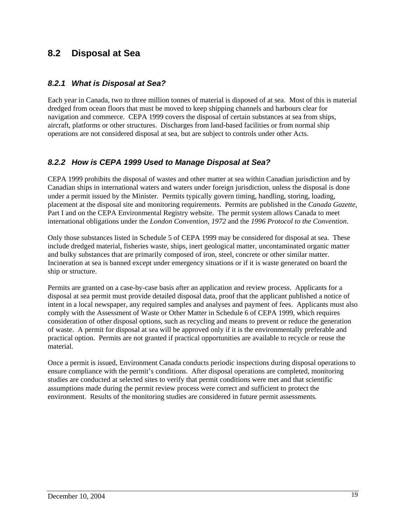## **8.2 Disposal at Sea**

#### *8.2.1 What is Disposal at Sea?*

Each year in Canada, two to three million tonnes of material is disposed of at sea. Most of this is material dredged from ocean floors that must be moved to keep shipping channels and harbours clear for navigation and commerce. CEPA 1999 covers the disposal of certain substances at sea from ships, aircraft, platforms or other structures. Discharges from land-based facilities or from normal ship operations are not considered disposal at sea, but are subject to controls under other Acts.

#### *8.2.2 How is CEPA 1999 Used to Manage Disposal at Sea?*

CEPA 1999 prohibits the disposal of wastes and other matter at sea within Canadian jurisdiction and by Canadian ships in international waters and waters under foreign jurisdiction, unless the disposal is done under a permit issued by the Minister. Permits typically govern timing, handling, storing, loading, placement at the disposal site and monitoring requirements. Permits are published in the *Canada Gazette*, Part I and on the CEPA Environmental Registry website. The permit system allows Canada to meet international obligations under the *London Convention, 1972* and the *1996 Protocol to the Convention*.

Only those substances listed in Schedule 5 of CEPA 1999 may be considered for disposal at sea. These include dredged material, fisheries waste, ships, inert geological matter, uncontaminated organic matter and bulky substances that are primarily composed of iron, steel, concrete or other similar matter. Incineration at sea is banned except under emergency situations or if it is waste generated on board the ship or structure.

Permits are granted on a case-by-case basis after an application and review process. Applicants for a disposal at sea permit must provide detailed disposal data, proof that the applicant published a notice of intent in a local newspaper, any required samples and analyses and payment of fees. Applicants must also comply with the Assessment of Waste or Other Matter in Schedule 6 of CEPA 1999, which requires consideration of other disposal options, such as recycling and means to prevent or reduce the generation of waste. A permit for disposal at sea will be approved only if it is the environmentally preferable and practical option. Permits are not granted if practical opportunities are available to recycle or reuse the material.

Once a permit is issued, Environment Canada conducts periodic inspections during disposal operations to ensure compliance with the permit's conditions. After disposal operations are completed, monitoring studies are conducted at selected sites to verify that permit conditions were met and that scientific assumptions made during the permit review process were correct and sufficient to protect the environment. Results of the monitoring studies are considered in future permit assessments.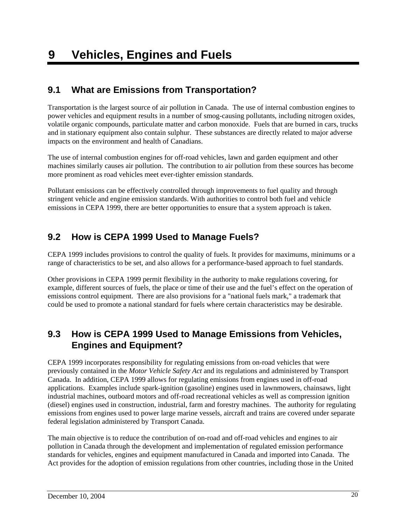## **9.1 What are Emissions from Transportation?**

Transportation is the largest source of air pollution in Canada. The use of internal combustion engines to power vehicles and equipment results in a number of smog-causing pollutants, including nitrogen oxides, volatile organic compounds, particulate matter and carbon monoxide. Fuels that are burned in cars, trucks and in stationary equipment also contain sulphur. These substances are directly related to major adverse impacts on the environment and health of Canadians.

The use of internal combustion engines for off-road vehicles, lawn and garden equipment and other machines similarly causes air pollution. The contribution to air pollution from these sources has become more prominent as road vehicles meet ever-tighter emission standards.

Pollutant emissions can be effectively controlled through improvements to fuel quality and through stringent vehicle and engine emission standards. With authorities to control both fuel and vehicle emissions in CEPA 1999, there are better opportunities to ensure that a system approach is taken.

## **9.2 How is CEPA 1999 Used to Manage Fuels?**

CEPA 1999 includes provisions to control the quality of fuels. It provides for maximums, minimums or a range of characteristics to be set, and also allows for a performance-based approach to fuel standards.

Other provisions in CEPA 1999 permit flexibility in the authority to make regulations covering, for example, different sources of fuels, the place or time of their use and the fuel's effect on the operation of emissions control equipment. There are also provisions for a "national fuels mark," a trademark that could be used to promote a national standard for fuels where certain characteristics may be desirable.

## **9.3 How is CEPA 1999 Used to Manage Emissions from Vehicles, Engines and Equipment?**

CEPA 1999 incorporates responsibility for regulating emissions from on-road vehicles that were previously contained in the *Motor Vehicle Safety Act* and its regulations and administered by Transport Canada. In addition, CEPA 1999 allows for regulating emissions from engines used in off-road applications. Examples include spark-ignition (gasoline) engines used in lawnmowers, chainsaws, light industrial machines, outboard motors and off-road recreational vehicles as well as compression ignition (diesel) engines used in construction, industrial, farm and forestry machines. The authority for regulating emissions from engines used to power large marine vessels, aircraft and trains are covered under separate federal legislation administered by Transport Canada.

The main objective is to reduce the contribution of on-road and off-road vehicles and engines to air pollution in Canada through the development and implementation of regulated emission performance standards for vehicles, engines and equipment manufactured in Canada and imported into Canada. The Act provides for the adoption of emission regulations from other countries, including those in the United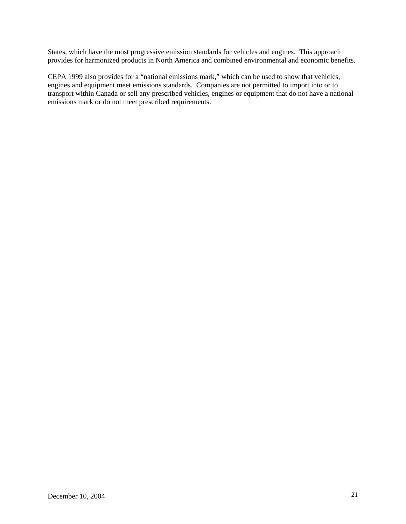States, which have the most progressive emission standards for vehicles and engines. This approach provides for harmonized products in North America and combined environmental and economic benefits.

CEPA 1999 also provides for a "national emissions mark," which can be used to show that vehicles, engines and equipment meet emissions standards. Companies are not permitted to import into or to transport within Canada or sell any prescribed vehicles, engines or equipment that do not have a national emissions mark or do not meet prescribed requirements.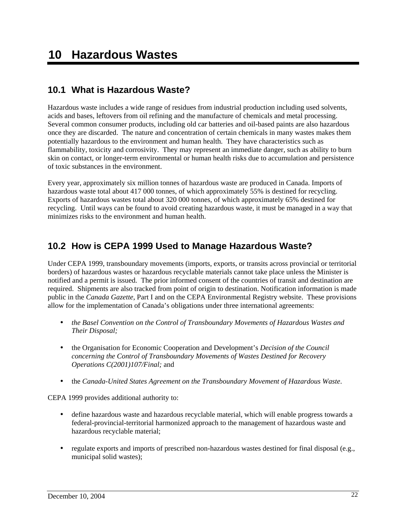## **10.1 What is Hazardous Waste?**

Hazardous waste includes a wide range of residues from industrial production including used solvents, acids and bases, leftovers from oil refining and the manufacture of chemicals and metal processing. Several common consumer products, including old car batteries and oil-based paints are also hazardous once they are discarded. The nature and concentration of certain chemicals in many wastes makes them potentially hazardous to the environment and human health. They have characteristics such as flammability, toxicity and corrosivity. They may represent an immediate danger, such as ability to burn skin on contact, or longer-term environmental or human health risks due to accumulation and persistence of toxic substances in the environment.

Every year, approximately six million tonnes of hazardous waste are produced in Canada. Imports of hazardous waste total about 417 000 tonnes, of which approximately 55% is destined for recycling. Exports of hazardous wastes total about 320 000 tonnes, of which approximately 65% destined for recycling. Until ways can be found to avoid creating hazardous waste, it must be managed in a way that minimizes risks to the environment and human health.

## **10.2 How is CEPA 1999 Used to Manage Hazardous Waste?**

Under CEPA 1999, transboundary movements (imports, exports, or transits across provincial or territorial borders) of hazardous wastes or hazardous recyclable materials cannot take place unless the Minister is notified and a permit is issued. The prior informed consent of the countries of transit and destination are required. Shipments are also tracked from point of origin to destination. Notification information is made public in the *Canada Gazette*, Part I and on the CEPA Environmental Registry website. These provisions allow for the implementation of Canada's obligations under three international agreements:

- *the Basel Convention on the Control of Transboundary Movements of Hazardous Wastes and Their Disposal;*
- the Organisation for Economic Cooperation and Development's *Decision of the Council concerning the Control of Transboundary Movements of Wastes Destined for Recovery Operations C(2001)107/Final;* and
- the *Canada-United States Agreement on the Transboundary Movement of Hazardous Waste*.

CEPA 1999 provides additional authority to:

- define hazardous waste and hazardous recyclable material, which will enable progress towards a federal-provincial-territorial harmonized approach to the management of hazardous waste and hazardous recyclable material;
- regulate exports and imports of prescribed non-hazardous wastes destined for final disposal (e.g., municipal solid wastes);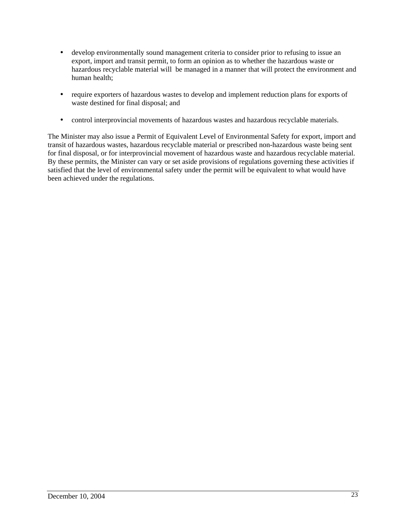- develop environmentally sound management criteria to consider prior to refusing to issue an export, import and transit permit, to form an opinion as to whether the hazardous waste or hazardous recyclable material will be managed in a manner that will protect the environment and human health;
- require exporters of hazardous wastes to develop and implement reduction plans for exports of waste destined for final disposal; and
- control interprovincial movements of hazardous wastes and hazardous recyclable materials.

The Minister may also issue a Permit of Equivalent Level of Environmental Safety for export, import and transit of hazardous wastes, hazardous recyclable material or prescribed non-hazardous waste being sent for final disposal, or for interprovincial movement of hazardous waste and hazardous recyclable material. By these permits, the Minister can vary or set aside provisions of regulations governing these activities if satisfied that the level of environmental safety under the permit will be equivalent to what would have been achieved under the regulations.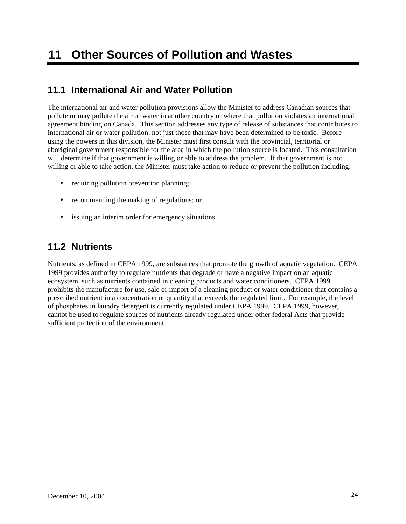## **11.1 International Air and Water Pollution**

The international air and water pollution provisions allow the Minister to address Canadian sources that pollute or may pollute the air or water in another country or where that pollution violates an international agreement binding on Canada. This section addresses any type of release of substances that contributes to international air or water pollution, not just those that may have been determined to be toxic. Before using the powers in this division, the Minister must first consult with the provincial, territorial or aboriginal government responsible for the area in which the pollution source is located. This consultation will determine if that government is willing or able to address the problem. If that government is not willing or able to take action, the Minister must take action to reduce or prevent the pollution including:

- requiring pollution prevention planning;
- recommending the making of regulations; or
- issuing an interim order for emergency situations.

## **11.2 Nutrients**

Nutrients, as defined in CEPA 1999, are substances that promote the growth of aquatic vegetation. CEPA 1999 provides authority to regulate nutrients that degrade or have a negative impact on an aquatic ecosystem, such as nutrients contained in cleaning products and water conditioners. CEPA 1999 prohibits the manufacture for use, sale or import of a cleaning product or water conditioner that contains a prescribed nutrient in a concentration or quantity that exceeds the regulated limit. For example, the level of phosphates in laundry detergent is currently regulated under CEPA 1999. CEPA 1999, however, cannot be used to regulate sources of nutrients already regulated under other federal Acts that provide sufficient protection of the environment.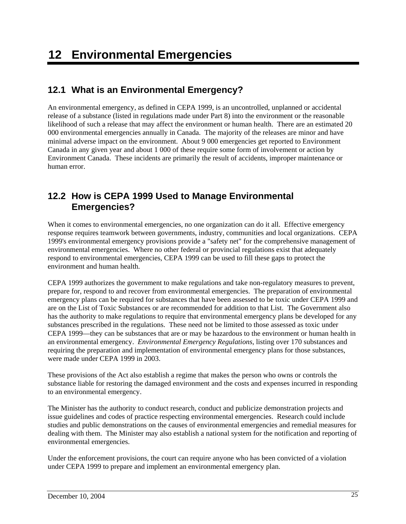## **12.1 What is an Environmental Emergency?**

An environmental emergency, as defined in CEPA 1999, is an uncontrolled, unplanned or accidental release of a substance (listed in regulations made under Part 8) into the environment or the reasonable likelihood of such a release that may affect the environment or human health. There are an estimated 20 000 environmental emergencies annually in Canada. The majority of the releases are minor and have minimal adverse impact on the environment. About 9 000 emergencies get reported to Environment Canada in any given year and about 1 000 of these require some form of involvement or action by Environment Canada. These incidents are primarily the result of accidents, improper maintenance or human error.

## **12.2 How is CEPA 1999 Used to Manage Environmental Emergencies?**

When it comes to environmental emergencies, no one organization can do it all. Effective emergency response requires teamwork between governments, industry, communities and local organizations. CEPA 1999's environmental emergency provisions provide a "safety net" for the comprehensive management of environmental emergencies. Where no other federal or provincial regulations exist that adequately respond to environmental emergencies, CEPA 1999 can be used to fill these gaps to protect the environment and human health.

CEPA 1999 authorizes the government to make regulations and take non-regulatory measures to prevent, prepare for, respond to and recover from environmental emergencies. The preparation of environmental emergency plans can be required for substances that have been assessed to be toxic under CEPA 1999 and are on the List of Toxic Substances or are recommended for addition to that List. The Government also has the authority to make regulations to require that environmental emergency plans be developed for any substances prescribed in the regulations. These need not be limited to those assessed as toxic under CEPA 1999—they can be substances that are or may be hazardous to the environment or human health in an environmental emergency. *Environmental Emergency Regulations*, listing over 170 substances and requiring the preparation and implementation of environmental emergency plans for those substances, were made under CEPA 1999 in 2003.

These provisions of the Act also establish a regime that makes the person who owns or controls the substance liable for restoring the damaged environment and the costs and expenses incurred in responding to an environmental emergency.

The Minister has the authority to conduct research, conduct and publicize demonstration projects and issue guidelines and codes of practice respecting environmental emergencies. Research could include studies and public demonstrations on the causes of environmental emergencies and remedial measures for dealing with them. The Minister may also establish a national system for the notification and reporting of environmental emergencies.

Under the enforcement provisions, the court can require anyone who has been convicted of a violation under CEPA 1999 to prepare and implement an environmental emergency plan.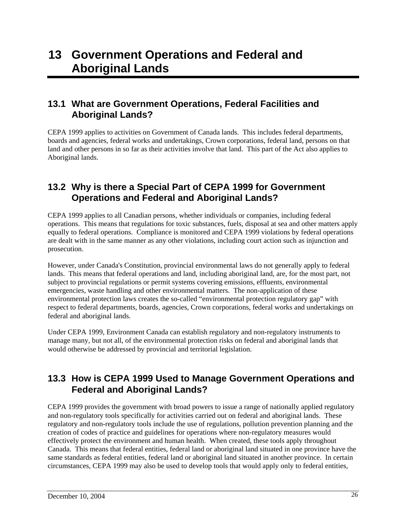## **13.1 What are Government Operations, Federal Facilities and Aboriginal Lands?**

CEPA 1999 applies to activities on Government of Canada lands. This includes federal departments, boards and agencies, federal works and undertakings, Crown corporations, federal land, persons on that land and other persons in so far as their activities involve that land. This part of the Act also applies to Aboriginal lands.

## **13.2 Why is there a Special Part of CEPA 1999 for Government Operations and Federal and Aboriginal Lands?**

CEPA 1999 applies to all Canadian persons, whether individuals or companies, including federal operations. This means that regulations for toxic substances, fuels, disposal at sea and other matters apply equally to federal operations. Compliance is monitored and CEPA 1999 violations by federal operations are dealt with in the same manner as any other violations, including court action such as injunction and prosecution.

However, under Canada's Constitution, provincial environmental laws do not generally apply to federal lands. This means that federal operations and land, including aboriginal land, are, for the most part, not subject to provincial regulations or permit systems covering emissions, effluents, environmental emergencies, waste handling and other environmental matters. The non-application of these environmental protection laws creates the so-called "environmental protection regulatory gap" with respect to federal departments, boards, agencies, Crown corporations, federal works and undertakings on federal and aboriginal lands.

Under CEPA 1999, Environment Canada can establish regulatory and non-regulatory instruments to manage many, but not all, of the environmental protection risks on federal and aboriginal lands that would otherwise be addressed by provincial and territorial legislation.

## **13.3 How is CEPA 1999 Used to Manage Government Operations and Federal and Aboriginal Lands?**

CEPA 1999 provides the government with broad powers to issue a range of nationally applied regulatory and non-regulatory tools specifically for activities carried out on federal and aboriginal lands. These regulatory and non-regulatory tools include the use of regulations, pollution prevention planning and the creation of codes of practice and guidelines for operations where non-regulatory measures would effectively protect the environment and human health. When created, these tools apply throughout Canada. This means that federal entities, federal land or aboriginal land situated in one province have the same standards as federal entities, federal land or aboriginal land situated in another province. In certain circumstances, CEPA 1999 may also be used to develop tools that would apply only to federal entities,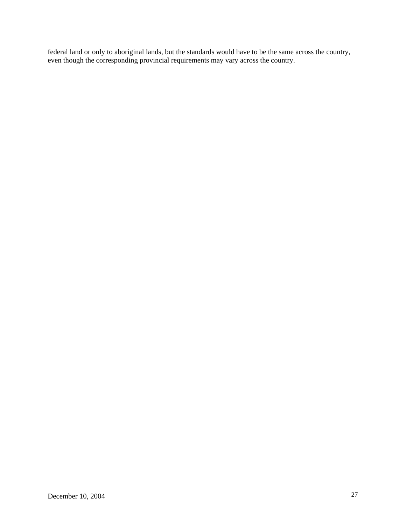federal land or only to aboriginal lands, but the standards would have to be the same across the country, even though the corresponding provincial requirements may vary across the country.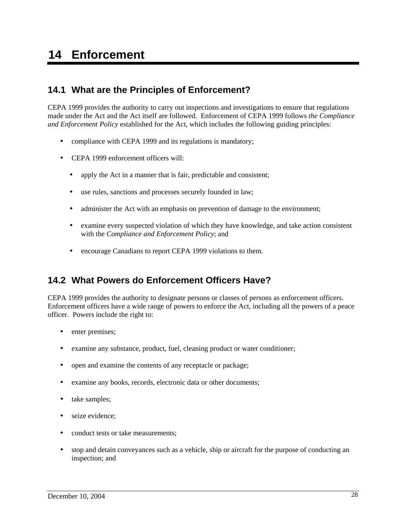## **14 Enforcement**

## **14.1 What are the Principles of Enforcement?**

CEPA 1999 provides the authority to carry out inspections and investigations to ensure that regulations made under the Act and the Act itself are followed. Enforcement of CEPA 1999 follows *the Compliance and Enforcement Policy* established for the Act, which includes the following guiding principles:

- compliance with CEPA 1999 and its regulations is mandatory;
- CEPA 1999 enforcement officers will:
	- apply the Act in a manner that is fair, predictable and consistent;
	- use rules, sanctions and processes securely founded in law;
	- administer the Act with an emphasis on prevention of damage to the environment;
	- examine every suspected violation of which they have knowledge, and take action consistent with the *Compliance and Enforcement Policy*; and
	- encourage Canadians to report CEPA 1999 violations to them.

## **14.2 What Powers do Enforcement Officers Have?**

CEPA 1999 provides the authority to designate persons or classes of persons as enforcement officers. Enforcement officers have a wide range of powers to enforce the Act, including all the powers of a peace officer. Powers include the right to:

- enter premises;
- examine any substance, product, fuel, cleaning product or water conditioner;
- open and examine the contents of any receptacle or package;
- examine any books, records, electronic data or other documents;
- take samples;
- seize evidence:
- conduct tests or take measurements;
- stop and detain conveyances such as a vehicle, ship or aircraft for the purpose of conducting an inspection; and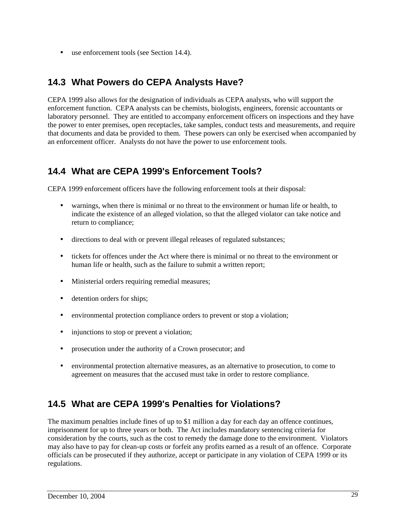• use enforcement tools (see Section 14.4).

## **14.3 What Powers do CEPA Analysts Have?**

CEPA 1999 also allows for the designation of individuals as CEPA analysts, who will support the enforcement function. CEPA analysts can be chemists, biologists, engineers, forensic accountants or laboratory personnel. They are entitled to accompany enforcement officers on inspections and they have the power to enter premises, open receptacles, take samples, conduct tests and measurements, and require that documents and data be provided to them. These powers can only be exercised when accompanied by an enforcement officer. Analysts do not have the power to use enforcement tools.

## **14.4 What are CEPA 1999's Enforcement Tools?**

CEPA 1999 enforcement officers have the following enforcement tools at their disposal:

- warnings, when there is minimal or no threat to the environment or human life or health, to indicate the existence of an alleged violation, so that the alleged violator can take notice and return to compliance;
- directions to deal with or prevent illegal releases of regulated substances;
- tickets for offences under the Act where there is minimal or no threat to the environment or human life or health, such as the failure to submit a written report;
- Ministerial orders requiring remedial measures;
- detention orders for ships;
- environmental protection compliance orders to prevent or stop a violation;
- injunctions to stop or prevent a violation;
- prosecution under the authority of a Crown prosecutor; and
- environmental protection alternative measures, as an alternative to prosecution, to come to agreement on measures that the accused must take in order to restore compliance.

## **14.5 What are CEPA 1999's Penalties for Violations?**

The maximum penalties include fines of up to \$1 million a day for each day an offence continues, imprisonment for up to three years or both. The Act includes mandatory sentencing criteria for consideration by the courts, such as the cost to remedy the damage done to the environment. Violators may also have to pay for clean-up costs or forfeit any profits earned as a result of an offence. Corporate officials can be prosecuted if they authorize, accept or participate in any violation of CEPA 1999 or its regulations.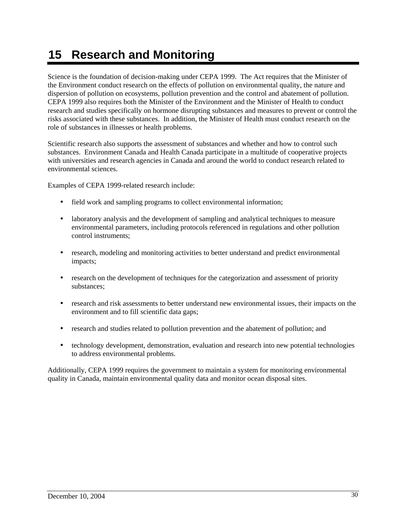# **15 Research and Monitoring**

Science is the foundation of decision-making under CEPA 1999. The Act requires that the Minister of the Environment conduct research on the effects of pollution on environmental quality, the nature and dispersion of pollution on ecosystems, pollution prevention and the control and abatement of pollution. CEPA 1999 also requires both the Minister of the Environment and the Minister of Health to conduct research and studies specifically on hormone disrupting substances and measures to prevent or control the risks associated with these substances. In addition, the Minister of Health must conduct research on the role of substances in illnesses or health problems.

Scientific research also supports the assessment of substances and whether and how to control such substances. Environment Canada and Health Canada participate in a multitude of cooperative projects with universities and research agencies in Canada and around the world to conduct research related to environmental sciences.

Examples of CEPA 1999-related research include:

- field work and sampling programs to collect environmental information;
- laboratory analysis and the development of sampling and analytical techniques to measure environmental parameters, including protocols referenced in regulations and other pollution control instruments;
- research, modeling and monitoring activities to better understand and predict environmental impacts;
- research on the development of techniques for the categorization and assessment of priority substances;
- research and risk assessments to better understand new environmental issues, their impacts on the environment and to fill scientific data gaps;
- research and studies related to pollution prevention and the abatement of pollution; and
- technology development, demonstration, evaluation and research into new potential technologies to address environmental problems.

Additionally, CEPA 1999 requires the government to maintain a system for monitoring environmental quality in Canada, maintain environmental quality data and monitor ocean disposal sites.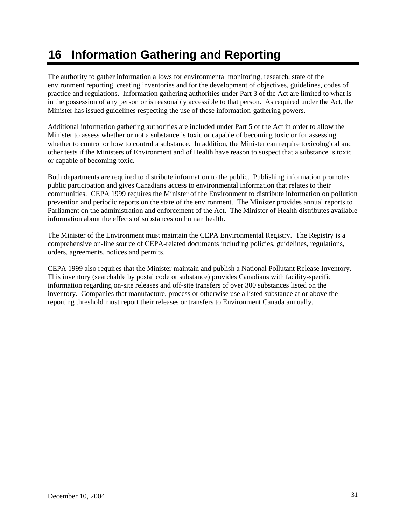# **16 Information Gathering and Reporting**

The authority to gather information allows for environmental monitoring, research, state of the environment reporting, creating inventories and for the development of objectives, guidelines, codes of practice and regulations. Information gathering authorities under Part 3 of the Act are limited to what is in the possession of any person or is reasonably accessible to that person. As required under the Act, the Minister has issued guidelines respecting the use of these information-gathering powers.

Additional information gathering authorities are included under Part 5 of the Act in order to allow the Minister to assess whether or not a substance is toxic or capable of becoming toxic or for assessing whether to control or how to control a substance. In addition, the Minister can require toxicological and other tests if the Ministers of Environment and of Health have reason to suspect that a substance is toxic or capable of becoming toxic.

Both departments are required to distribute information to the public. Publishing information promotes public participation and gives Canadians access to environmental information that relates to their communities. CEPA 1999 requires the Minister of the Environment to distribute information on pollution prevention and periodic reports on the state of the environment. The Minister provides annual reports to Parliament on the administration and enforcement of the Act. The Minister of Health distributes available information about the effects of substances on human health.

The Minister of the Environment must maintain the CEPA Environmental Registry. The Registry is a comprehensive on-line source of CEPA-related documents including policies, guidelines, regulations, orders, agreements, notices and permits.

CEPA 1999 also requires that the Minister maintain and publish a National Pollutant Release Inventory. This inventory (searchable by postal code or substance) provides Canadians with facility-specific information regarding on-site releases and off-site transfers of over 300 substances listed on the inventory. Companies that manufacture, process or otherwise use a listed substance at or above the reporting threshold must report their releases or transfers to Environment Canada annually.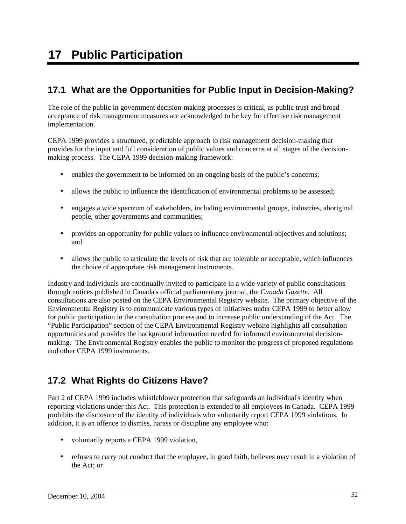## **17 Public Participation**

## **17.1 What are the Opportunities for Public Input in Decision-Making?**

The role of the public in government decision-making processes is critical, as public trust and broad acceptance of risk management measures are acknowledged to be key for effective risk management implementation.

CEPA 1999 provides a structured, predictable approach to risk management decision-making that provides for the input and full consideration of public values and concerns at all stages of the decisionmaking process. The CEPA 1999 decision-making framework:

- enables the government to be informed on an ongoing basis of the public's concerns;
- allows the public to influence the identification of environmental problems to be assessed;
- engages a wide spectrum of stakeholders, including environmental groups, industries, aboriginal people, other governments and communities;
- provides an opportunity for public values to influence environmental objectives and solutions; and
- allows the public to articulate the levels of risk that are tolerable or acceptable, which influences the choice of appropriate risk management instruments.

Industry and individuals are continually invited to participate in a wide variety of public consultations through notices published in Canada's official parliamentary journal, the *Canada Gazette*. All consultations are also posted on the CEPA Environmental Registry website. The primary objective of the Environmental Registry is to communicate various types of initiatives under CEPA 1999 to better allow for public participation in the consultation process and to increase public understanding of the Act. The "Public Participation" section of the CEPA Environmental Registry website highlights all consultation opportunities and provides the background information needed for informed environmental decisionmaking. The Environmental Registry enables the public to monitor the progress of proposed regulations and other CEPA 1999 instruments.

## **17.2 What Rights do Citizens Have?**

Part 2 of CEPA 1999 includes whistleblower protection that safeguards an individual's identity when reporting violations under this Act. This protection is extended to all employees in Canada. CEPA 1999 prohibits the disclosure of the identity of individuals who voluntarily report CEPA 1999 violations. In addition, it is an offence to dismiss, harass or discipline any employee who:

- voluntarily reports a CEPA 1999 violation,
- refuses to carry out conduct that the employee, in good faith, believes may result in a violation of the Act; or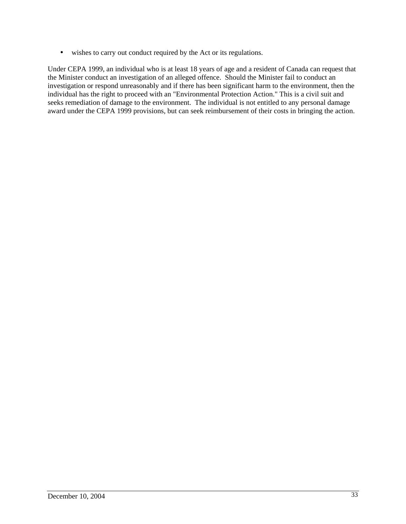• wishes to carry out conduct required by the Act or its regulations.

Under CEPA 1999, an individual who is at least 18 years of age and a resident of Canada can request that the Minister conduct an investigation of an alleged offence. Should the Minister fail to conduct an investigation or respond unreasonably and if there has been significant harm to the environment, then the individual has the right to proceed with an "Environmental Protection Action." This is a civil suit and seeks remediation of damage to the environment. The individual is not entitled to any personal damage award under the CEPA 1999 provisions, but can seek reimbursement of their costs in bringing the action.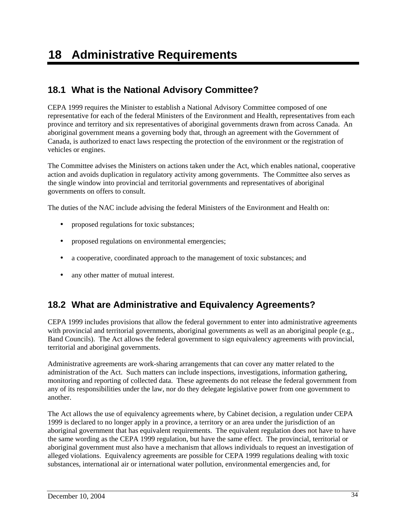## **18.1 What is the National Advisory Committee?**

CEPA 1999 requires the Minister to establish a National Advisory Committee composed of one representative for each of the federal Ministers of the Environment and Health, representatives from each province and territory and six representatives of aboriginal governments drawn from across Canada. An aboriginal government means a governing body that, through an agreement with the Government of Canada, is authorized to enact laws respecting the protection of the environment or the registration of vehicles or engines.

The Committee advises the Ministers on actions taken under the Act, which enables national, cooperative action and avoids duplication in regulatory activity among governments. The Committee also serves as the single window into provincial and territorial governments and representatives of aboriginal governments on offers to consult.

The duties of the NAC include advising the federal Ministers of the Environment and Health on:

- proposed regulations for toxic substances;
- proposed regulations on environmental emergencies;
- a cooperative, coordinated approach to the management of toxic substances; and
- any other matter of mutual interest.

## **18.2 What are Administrative and Equivalency Agreements?**

CEPA 1999 includes provisions that allow the federal government to enter into administrative agreements with provincial and territorial governments, aboriginal governments as well as an aboriginal people (e.g., Band Councils). The Act allows the federal government to sign equivalency agreements with provincial, territorial and aboriginal governments.

Administrative agreements are work-sharing arrangements that can cover any matter related to the administration of the Act. Such matters can include inspections, investigations, information gathering, monitoring and reporting of collected data. These agreements do not release the federal government from any of its responsibilities under the law, nor do they delegate legislative power from one government to another.

The Act allows the use of equivalency agreements where, by Cabinet decision, a regulation under CEPA 1999 is declared to no longer apply in a province, a territory or an area under the jurisdiction of an aboriginal government that has equivalent requirements. The equivalent regulation does not have to have the same wording as the CEPA 1999 regulation, but have the same effect. The provincial, territorial or aboriginal government must also have a mechanism that allows individuals to request an investigation of alleged violations. Equivalency agreements are possible for CEPA 1999 regulations dealing with toxic substances, international air or international water pollution, environmental emergencies and, for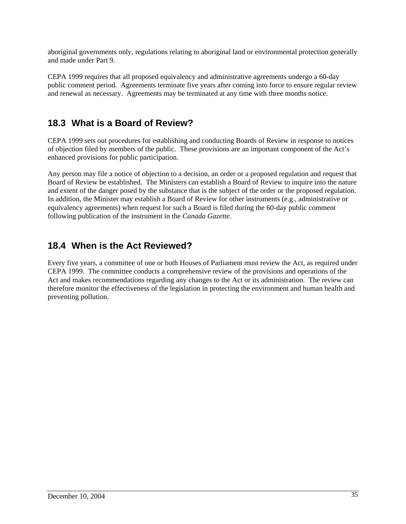aboriginal governments only, regulations relating to aboriginal land or environmental protection generally and made under Part 9.

CEPA 1999 requires that all proposed equivalency and administrative agreements undergo a 60-day public comment period. Agreements terminate five years after coming into force to ensure regular review and renewal as necessary. Agreements may be terminated at any time with three months notice.

## **18.3 What is a Board of Review?**

CEPA 1999 sets out procedures for establishing and conducting Boards of Review in response to notices of objection filed by members of the public. These provisions are an important component of the Act's enhanced provisions for public participation.

Any person may file a notice of objection to a decision, an order or a proposed regulation and request that Board of Review be established. The Ministers can establish a Board of Review to inquire into the nature and extent of the danger posed by the substance that is the subject of the order or the proposed regulation. In addition, the Minister may establish a Board of Review for other instruments (e.g., administrative or equivalency agreements) when request for such a Board is filed during the 60-day public comment following publication of the instrument in the *Canada Gazette*.

## **18.4 When is the Act Reviewed?**

Every five years, a committee of one or both Houses of Parliament must review the Act, as required under CEPA 1999. The committee conducts a comprehensive review of the provisions and operations of the Act and makes recommendations regarding any changes to the Act or its administration. The review can therefore monitor the effectiveness of the legislation in protecting the environment and human health and preventing pollution.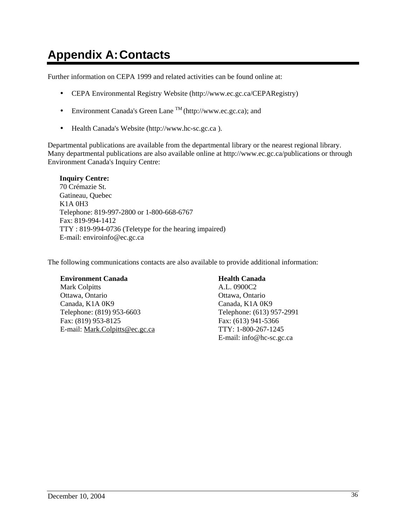# **Appendix A: Contacts**

Further information on CEPA 1999 and related activities can be found online at:

- CEPA Environmental Registry Website (http://www.ec.gc.ca/CEPARegistry)
- Environment Canada's Green Lane  $\text{TM}$  (http://www.ec.gc.ca); and
- Health Canada's Website (http://www.hc-sc.gc.ca ).

Departmental publications are available from the departmental library or the nearest regional library. Many departmental publications are also available online at http://www.ec.gc.ca/publications or through Environment Canada's Inquiry Centre:

#### **Inquiry Centre:**

70 Crémazie St. Gatineau, Quebec K1A 0H3 Telephone: 819-997-2800 or 1-800-668-6767 Fax: 819-994-1412 TTY : 819-994-0736 (Teletype for the hearing impaired) E-mail: enviroinfo@ec.gc.ca

The following communications contacts are also available to provide additional information:

#### **Environment Canada**

Mark Colpitts Ottawa, Ontario Canada, K1A 0K9 Telephone: (819) 953-6603 Fax: (819) 953-8125 E-mail: Mark.Colpitts@ec.gc.ca

#### **Health Canada**

A.L. 0900C2 Ottawa, Ontario Canada, K1A 0K9 Telephone: (613) 957-2991 Fax: (613) 941-5366 TTY: 1-800-267-1245 E-mail: info@hc-sc.gc.ca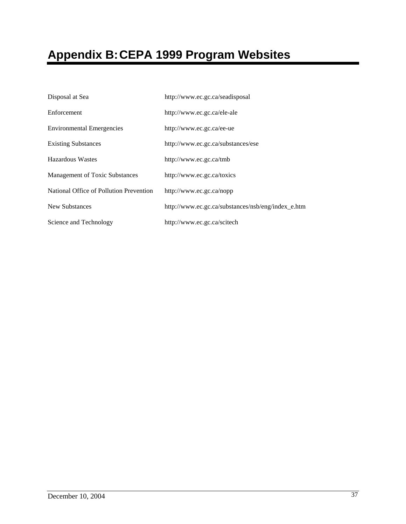# **Appendix B: CEPA 1999 Program Websites**

| Disposal at Sea                         | http://www.ec.gc.ca/seadisposal                    |  |
|-----------------------------------------|----------------------------------------------------|--|
| Enforcement                             | http://www.ec.gc.ca/ele-ale                        |  |
| <b>Environmental Emergencies</b>        | http://www.ec.gc.ca/ee-ue                          |  |
| <b>Existing Substances</b>              | http://www.ec.gc.ca/substances/ese                 |  |
| Hazardous Wastes                        | http://www.ec.gc.ca/tmb                            |  |
| Management of Toxic Substances          | http://www.ec.gc.ca/toxics                         |  |
| National Office of Pollution Prevention | http://www.ec.gc.ca/nopp                           |  |
| New Substances                          | http://www.ec.gc.ca/substances/nsb/eng/index_e.htm |  |
| Science and Technology                  | http://www.ec.gc.ca/scitech                        |  |